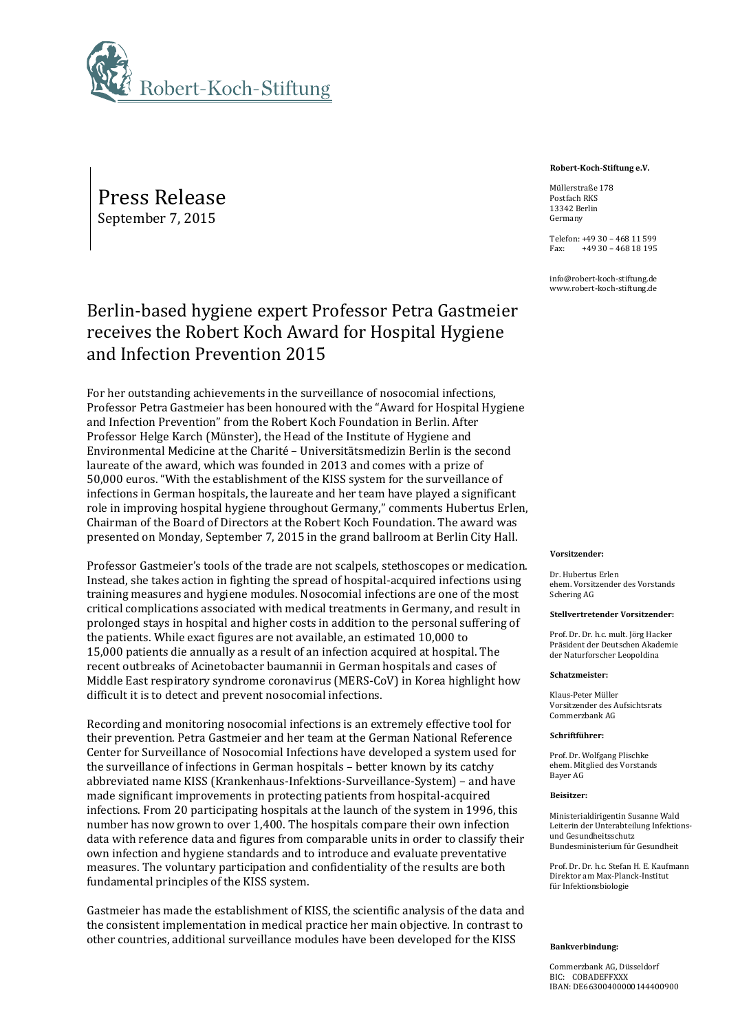

Press Release September 7, 2015

# Berlin-based hygiene expert Professor Petra Gastmeier receives the Robert Koch Award for Hospital Hygiene and Infection Prevention 2015

For her outstanding achievements in the surveillance of nosocomial infections, Professor Petra Gastmeier has been honoured with the "Award for Hospital Hygiene and Infection Prevention" from the Robert Koch Foundation in Berlin. After Professor Helge Karch (Münster), the Head of the Institute of Hygiene and Environmental Medicine at the Charité – Universitätsmedizin Berlin is the second laureate of the award, which was founded in 2013 and comes with a prize of 50,000 euros. "With the establishment of the KISS system for the surveillance of infections in German hospitals, the laureate and her team have played a significant role in improving hospital hygiene throughout Germany," comments Hubertus Erlen, Chairman of the Board of Directors at the Robert Koch Foundation. The award was presented on Monday, September 7, 2015 in the grand ballroom at Berlin City Hall.

Professor Gastmeier's tools of the trade are not scalpels, stethoscopes or medication. Instead, she takes action in fighting the spread of hospital-acquired infections using training measures and hygiene modules. Nosocomial infections are one of the most critical complications associated with medical treatments in Germany, and result in prolonged stays in hospital and higher costs in addition to the personal suffering of the patients. While exact figures are not available, an estimated 10,000 to 15,000 patients die annually as a result of an infection acquired at hospital. The recent outbreaks of Acinetobacter baumannii in German hospitals and cases of Middle East respiratory syndrome coronavirus (MERS-CoV) in Korea highlight how difficult it is to detect and prevent nosocomial infections.

Recording and monitoring nosocomial infections is an extremely effective tool for their prevention. Petra Gastmeier and her team at the German National Reference Center for Surveillance of Nosocomial Infections have developed a system used for the surveillance of infections in German hospitals – better known by its catchy abbreviated name KISS (Krankenhaus-Infektions-Surveillance-System) – and have made significant improvements in protecting patients from hospital-acquired infections. From 20 participating hospitals at the launch of the system in 1996, this number has now grown to over 1,400. The hospitals compare their own infection data with reference data and figures from comparable units in order to classify their own infection and hygiene standards and to introduce and evaluate preventative measures. The voluntary participation and confidentiality of the results are both fundamental principles of the KISS system.

Gastmeier has made the establishment of KISS, the scientific analysis of the data and the consistent implementation in medical practice her main objective. In contrast to other countries, additional surveillance modules have been developed for the KISS

**Robert-Koch-Stiftung e.V.**

Müllerstraße 178 Postfach RKS 13342 Berlin Germany

Telefon: +49 30 – 468 11 599 Fax: +49 30 – 468 18 195

info@robert-koch-stiftung.de www.robert-koch-stiftung.de

## **Vorsitzender:**

Dr. Hubertus Erlen ehem. Vorsitzender des Vorstands Schering AG

## **Stellvertretender Vorsitzender:**

Prof. Dr. Dr. h.c. mult. Jörg Hacker Präsident der Deutschen Akademie der Naturforscher Leopoldina

## **Schatzmeister:**

Klaus-Peter Müller Vorsitzender des Aufsichtsrats Commerzbank AG

## **Schriftführer:**

Prof. Dr. Wolfgang Plischke ehem. Mitglied des Vorstands Bayer AG

## **Beisitzer:**

Ministerialdirigentin Susanne Wald Leiterin der Unterabteilung Infektionsund Gesundheitsschutz Bundesministerium für Gesundheit

Prof. Dr. Dr. h.c. Stefan H. E. Kaufmann Direktor am Max-Planck-Institut für Infektionsbiologie

## **Bankverbindung:**

Commerzbank AG, Düsseldorf BIC: COBADEFFXXX IBAN: DE66300400000144400900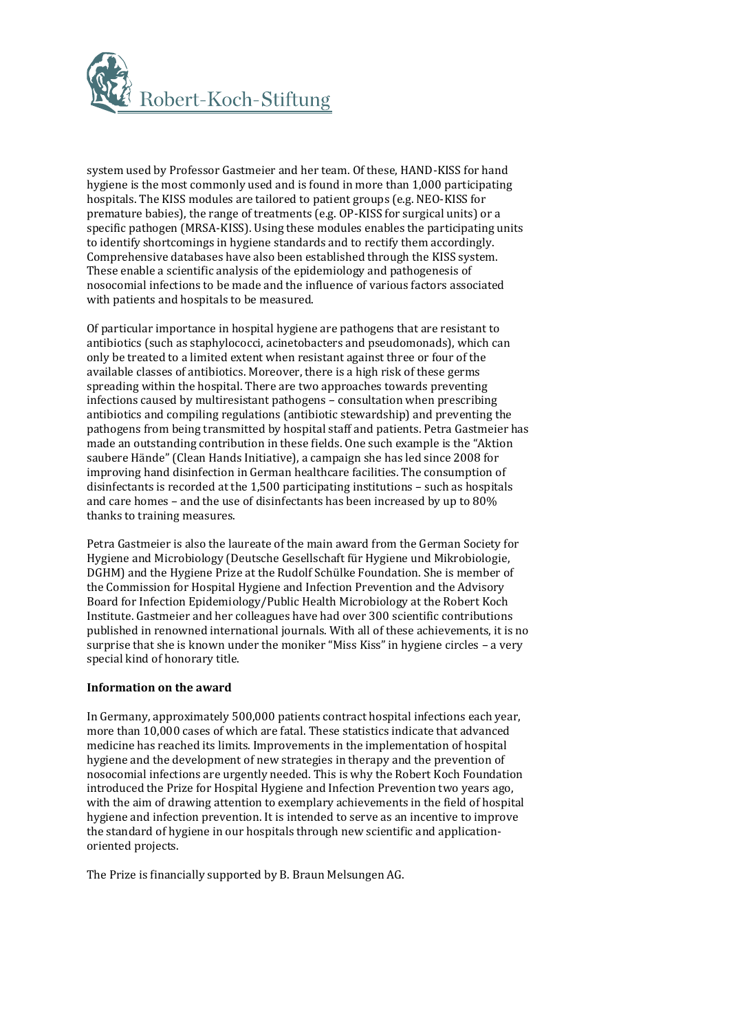

system used by Professor Gastmeier and her team. Of these, HAND-KISS for hand hygiene is the most commonly used and is found in more than 1,000 participating hospitals. The KISS modules are tailored to patient groups (e.g. NEO-KISS for premature babies), the range of treatments (e.g. OP-KISS for surgical units) or a specific pathogen (MRSA-KISS). Using these modules enables the participating units to identify shortcomings in hygiene standards and to rectify them accordingly. Comprehensive databases have also been established through the KISS system. These enable a scientific analysis of the epidemiology and pathogenesis of nosocomial infections to be made and the influence of various factors associated with patients and hospitals to be measured.

Of particular importance in hospital hygiene are pathogens that are resistant to antibiotics (such as staphylococci, acinetobacters and pseudomonads), which can only be treated to a limited extent when resistant against three or four of the available classes of antibiotics. Moreover, there is a high risk of these germs spreading within the hospital. There are two approaches towards preventing infections caused by multiresistant pathogens – consultation when prescribing antibiotics and compiling regulations (antibiotic stewardship) and preventing the pathogens from being transmitted by hospital staff and patients. Petra Gastmeier has made an outstanding contribution in these fields. One such example is the "Aktion saubere Hände" (Clean Hands Initiative), a campaign she has led since 2008 for improving hand disinfection in German healthcare facilities. The consumption of disinfectants is recorded at the 1,500 participating institutions – such as hospitals and care homes – and the use of disinfectants has been increased by up to 80% thanks to training measures.

Petra Gastmeier is also the laureate of the main award from the German Society for Hygiene and Microbiology (Deutsche Gesellschaft für Hygiene und Mikrobiologie, DGHM) and the Hygiene Prize at the Rudolf Schülke Foundation. She is member of the Commission for Hospital Hygiene and Infection Prevention and the Advisory Board for Infection Epidemiology/Public Health Microbiology at the Robert Koch Institute. Gastmeier and her colleagues have had over 300 scientific contributions published in renowned international journals. With all of these achievements, it is no surprise that she is known under the moniker "Miss Kiss" in hygiene circles – a very special kind of honorary title.

# **Information on the award**

In Germany, approximately 500,000 patients contract hospital infections each year, more than 10,000 cases of which are fatal. These statistics indicate that advanced medicine has reached its limits. Improvements in the implementation of hospital hygiene and the development of new strategies in therapy and the prevention of nosocomial infections are urgently needed. This is why the Robert Koch Foundation introduced the Prize for Hospital Hygiene and Infection Prevention two years ago, with the aim of drawing attention to exemplary achievements in the field of hospital hygiene and infection prevention. It is intended to serve as an incentive to improve the standard of hygiene in our hospitals through new scientific and applicationoriented projects.

The Prize is financially supported by B. Braun Melsungen AG.